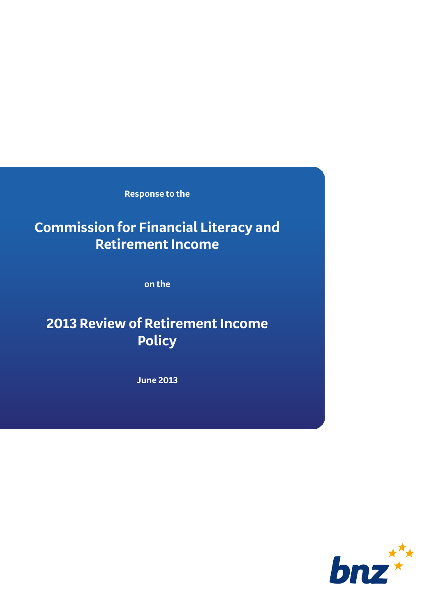**Response to the** 

## **Commission for Financial Literacy and Retirement Income**

**on the**

# **2013 Review of Retirement Income Policy**

**June 2013**

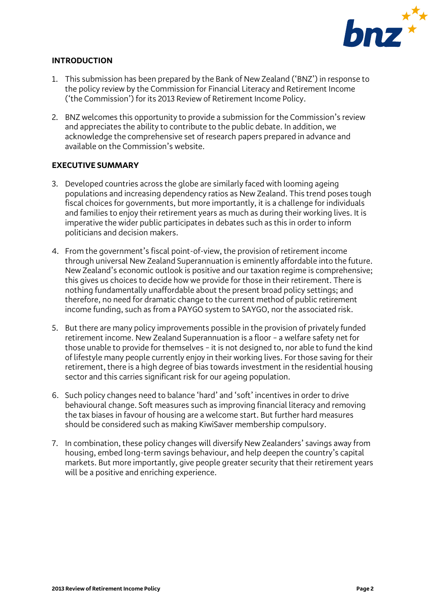

#### **INTRODUCTION**

- 1. This submission has been prepared by the Bank of New Zealand ('BNZ') in response to the policy review by the Commission for Financial Literacy and Retirement Income ('the Commission') for its 2013 Review of Retirement Income Policy.
- 2. BNZ welcomes this opportunity to provide a submission for the Commission's review and appreciates the ability to contribute to the public debate. In addition, we acknowledge the comprehensive set of research papers prepared in advance and available on the Commission's website.

#### **EXECUTIVE SUMMARY**

- 3. Developed countries across the globe are similarly faced with looming ageing populations and increasing dependency ratios as New Zealand. This trend posestough fiscal choices for governments, but more importantly, it is a challenge for individuals and families to enjoy their retirement years as much as during their working lives. It is imperative the wider public participates in debates such as this in order to inform politicians and decision makers.
- 4. From the government's fiscal point-of-view, the provision of retirement income through universal New Zealand Superannuation is eminently affordable into the future. New Zealand's economic outlook is positive and our taxation regime is comprehensive; this gives us choices to decide how we provide for those in their retirement. There is nothing fundamentally unaffordable about the present broad policy settings; and therefore, no need for dramatic change to the current method of public retirement income funding, such as from a PAYGO system to SAYGO, nor the associated risk.
- 5. But there are many policy improvements possible in the provision of privately funded retirement income. New Zealand Superannuation is a floor – a welfare safety net for those unable to provide for themselves – it is not designed to, nor able to fund the kind of lifestyle many people currently enjoy in their working lives. For those saving for their retirement, there is a high degree of bias towards investment in the residential housing sector and this carries significant risk for our ageing population.
- 6. Such policy changes need to balance 'hard' and 'soft' incentives in order to drive behavioural change. Soft measures such as improving financial literacy and removing the tax biases in favour of housing are a welcome start. But further hard measures should be considered such as making KiwiSaver membership compulsory.
- 7. In combination, these policy changes will diversify New Zealanders' savings away from housing, embed long-term savings behaviour, and help deepen the country's capital markets. But more importantly, give people greater security that their retirement years will be a positive and enriching experience.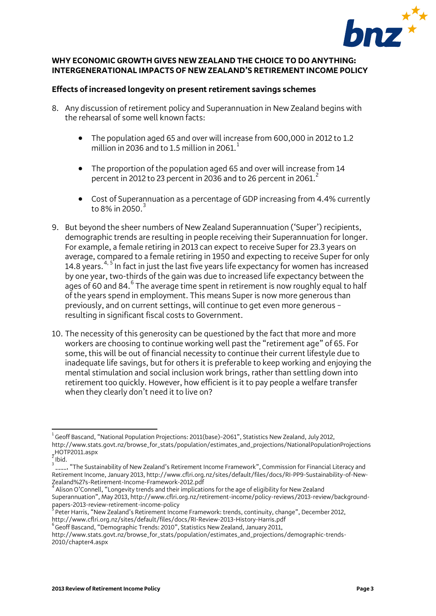

## **WHY ECONOMIC GROWTH GIVES NEW ZEALAND THE CHOICE TO DO ANYTHING: INTERGENERATIONAL IMPACTS OF NEW ZEALAND'S RETIREMENT INCOME POLICY**

#### **Effects of increased longevity on present retirement savings schemes**

- 8. Any discussion of retirement policy and Superannuation in New Zealand begins with the rehearsal of some well known facts:
	- The population aged 65 and over will increase from 600,000 in 2012 to 1.2 million in 2036 and to [1](#page-2-0).5 million in 2061.<sup>1</sup>
	- The proportion of the population aged 65 and over will increase from 14 percent in [2](#page-2-1)012 to 23 percent in 2036 and to 26 percent in 2061.<sup>2</sup>
	- Cost of Superannuation as a percentage of GDP increasing from 4.4% currently to 8% in 2050. $3$
- 9. But beyond the sheer numbers of New Zealand Superannuation ('Super') recipients, demographic trends are resulting in people receiving their Superannuation for longer. For example, a female retiring in 2013 can expect to receive Super for 23.3 years on average, compared to a female retiring in 1950 and expecting to receive Super for only 1[4](#page-2-3).8 years.<sup>4, [5](#page-2-4)</sup> In fact in just the last five years life expectancy for women has increased by one year, two-thirds of the gain was due to increased life expectancy between the ages of [6](#page-2-5)0 and 84. $^{6}$  The average time spent in retirement is now roughly equal to half of the years spend in employment. This means Super is now more generous than previously, and on current settings, will continue to get even more generous – resulting in significant fiscal costs to Government.
- 10. The necessity of this generosity can be questioned by the fact that more and more workers are choosing to continue working well past the "retirement age" of 65. For some, this will be out of financial necessity to continue their current lifestyle due to inadequate life savings, but for others it is preferable to keep working and enjoying the mental stimulation and social inclusion work brings, rather than settling down into retirement too quickly. However, how efficient is it to pay people a welfare transfer when they clearly don't need it to live on?

<span id="page-2-0"></span> 1 Geoff Bascand, "National Population Projections: 2011(base)–2061", Statistics New Zealand, July 2012, http://www.stats.govt.nz/browse\_for\_stats/population/estimates\_and\_projections/NationalPopulationProjections  $_2^2$ HOTP2011.aspx

Ibid.

<span id="page-2-2"></span><span id="page-2-1"></span><sup>3</sup> \_\_\_\_, "The Sustainability of New Zealand's Retirement Income Framework", Commission for Financial Literacy and Retirement Income, January 2013, http://www.cflri.org.nz/sites/default/files/docs/RI-PP9-Sustainability-of-New-

<span id="page-2-3"></span>Zealand%27s-Retirement-Income-Framework-2012.pdf<br><sup>4</sup> Alison O'Connell, "Longevity trends and their implications for the age of eligibility for New Zealand Superannuation", May 2013, http://www.cflri.org.nz/retirement-income/policy-reviews/2013-review/backgroundpapers-2013-review-retirement-income-policy <sup>5</sup>

<span id="page-2-4"></span>Peter Harris, "New Zealand's Retirement Income Framework: trends, continuity, change", December 2012, http://www.cflri.org.nz/sites/default/files/docs/RI-Review-2013-History-Harris.pdf <sup>6</sup>

 $^6$ Geoff Bascand, "Demographic Trends: 2010", Statistics New Zealand, January 2011,

<span id="page-2-5"></span>[http://www.stats.govt.nz/browse\\_for\\_stats/population/estimates\\_and\\_projections/demographic-trends-](http://www.stats.govt.nz/browse_for_stats/population/estimates_and_projections/demographic-trends-2010/chapter4.aspx)[2010/chapter4.aspx](http://www.stats.govt.nz/browse_for_stats/population/estimates_and_projections/demographic-trends-2010/chapter4.aspx)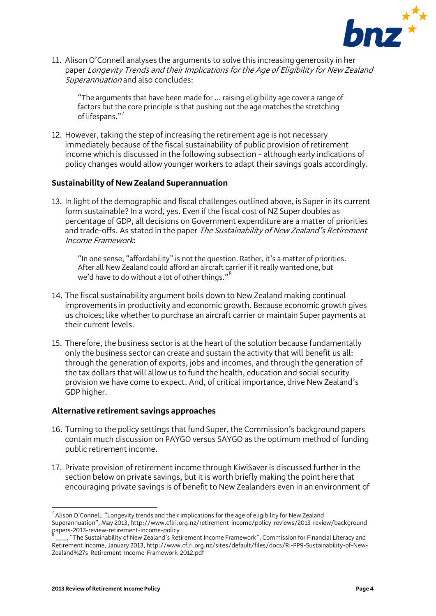

11. Alison O'Connell analyses the arguments to solve this increasing generosity in her paper Longevity Trends and their Implications for the Age of Eligibility for New Zealand Superannuation and also concludes:

"The arguments that have been made for ... raising eligibility age cover a range of factors but the core principle is that pushing out the age matches the stretching of lifespans."<sup>[7](#page-3-0)</sup>

12. However, taking the step of increasing the retirement age is not necessary immediately because of the fiscal sustainability of public provision of retirement income which is discussed in the following subsection – although early indications of policy changes would allow younger workers to adapt their savings goals accordingly.

#### **Sustainability of New Zealand Superannuation**

13. In light of the demographic and fiscal challenges outlined above, is Super in its current form sustainable? In a word, yes. Even if the fiscal cost of NZ Super doubles as percentage of GDP, all decisions on Government expenditure are a matter of priorities and trade-offs. As stated in the paper The Sustainability of New Zealand's Retirement Income Framework:

"In one sense, "affordability" is not the question. Rather, it's a matter of priorities. After all New Zealand could afford an aircraft carrier if it really wanted one, but we'd have to do without a lot of other things."<sup>[8](#page-3-1)</sup>

- 14. The fiscal sustainability argument boils down to New Zealand making continual improvements in productivity and economic growth. Because economic growth gives us choices; like whether to purchase an aircraft carrier or maintain Super payments at their current levels.
- 15. Therefore, the business sector is at the heart of the solution because fundamentally only the business sector can create and sustain the activity that will benefit us all: through the generation of exports, jobs and incomes, and through the generation of the tax dollars that will allow us to fund the health, education and social security provision we have come to expect. And, of critical importance, drive New Zealand's GDP higher.

#### **Alternative retirement savings approaches**

- 16. Turning to the policy settings that fund Super, the Commission's background papers contain much discussion on PAYGO versus SAYGO as the optimum method of funding public retirement income.
- 17. Private provision of retirement income through KiwiSaver is discussed further in the section below on private savings, but it is worth briefly making the point here that encouraging private savings is of benefit to New Zealanders even in an environment of

<span id="page-3-0"></span> $\overline{a}$  $^7$  Alison O'Connell, "Longevity trends and their implications for the age of eligibility for New Zealand Superannuation", May 2013, http://www.cflri.org.nz/retirement-income/policy-reviews/2013-review/backgroundpapers-2013-review-retirement-income-policy <sup>8</sup>

<span id="page-3-1"></span>\_\_\_\_, "The Sustainability of New Zealand's Retirement Income Framework", Commission for Financial Literacy and Retirement Income, January 2013, http://www.cflri.org.nz/sites/default/files/docs/RI-PP9-Sustainability-of-New-Zealand%27s-Retirement-Income-Framework-2012.pdf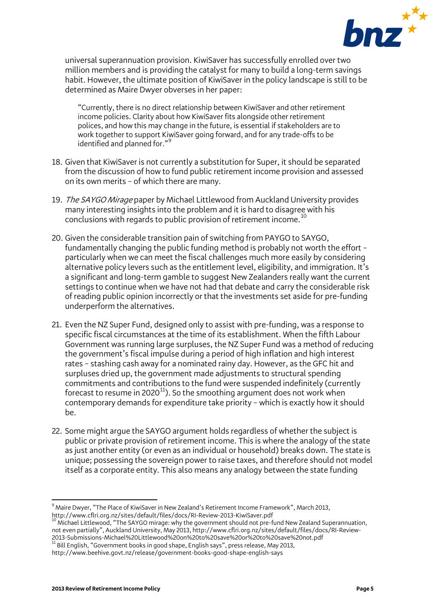

universal superannuation provision. KiwiSaver has successfully enrolled over two million members and is providing the catalyst for many to build a long-term savings habit. However, the ultimate position of KiwiSaver in the policy landscape is still to be determined as Maire Dwyer obverses in her paper:

"Currently, there is no direct relationship between KiwiSaver and other retirement income policies. Clarity about how KiwiSaver fits alongside other retirement polices, and how this may change in the future, is essential if stakeholders are to work together to support KiwiSaver going forward, and for any trade-offs to be identified and planned for."<sup>[9](#page-4-0)</sup>

- 18. Given that KiwiSaver is not currently a substitution for Super, it should be separated from the discussion of how to fund public retirement income provision and assessed on its own merits – of which there are many.
- 19. The SAYGO Mirage paper by Michael Littlewood from Auckland University provides many interesting insights into the problem and it is hard to disagree with his conclusions with regards to public provision of retirement income.<sup>[10](#page-4-1)</sup>
- 20. Given the considerable transition pain of switching from PAYGO to SAYGO, fundamentally changing the public funding method is probably not worth the effort – particularly when we can meet the fiscal challenges much more easily by considering alternative policy levers such as the entitlement level, eligibility, and immigration. It's a significant and long-term gamble to suggest New Zealanders really want the current settings to continue when we have not had that debate and carry the considerable risk of reading public opinion incorrectly or that the investments set aside for pre-funding underperform the alternatives.
- 21. Even the NZ Super Fund, designed only to assist with pre-funding, was a response to specific fiscal circumstances at the time of its establishment. When the fifth Labour Government was running large surpluses, the NZ Super Fund was a method of reducing the government's fiscal impulse during a period of high inflation and high interest rates – stashing cash away for a nominated rainy day. However, as the GFC hit and surpluses dried up, the government made adjustments to structural spending commitments and contributions to the fund were suspended indefinitely (currently forecast to resume in 2020 $^{11}$ ). So the smoothing argument does not work when contemporary demands for expenditure take priority – which is exactly how it should be.
- 22. Some might argue the SAYGO argument holds regardless of whether the subject is public or private provision of retirement income. This is where the analogy of the state as just another entity (or even as an individual or household) breaks down. The state is unique; possessing the sovereign power to raise taxes, and therefore should not model itself as a corporate entity. This also means any analogy between the state funding

 $\overline{a}$ 

<span id="page-4-0"></span> $^9$  Maire Dwyer, "The Place of KiwiSaver in New Zealand's Retirement Income Framework", March 2013, http://www.cflri.org.nz/sites/default/files/docs/RI-Review-2013-KiwiSaver.pdf<br><sup>10</sup> Michael Littlewood, "The SAYGO mirage: why the government should not pre-fund New Zealand Superannuation,

<span id="page-4-1"></span>not even partially", Auckland University, May 2013, http://www.cflri.org.nz/sites/default/files/docs/RI-Review-2013-Submissions-Michael%20Littlewood%20on%20to%20save%20or%20to%20save%20not.pdf <sup>11</sup> Bill English, "Government books in good shape, English says", press release, May 2013,

<span id="page-4-2"></span>http://www.beehive.govt.nz/release/government-books-good-shape-english-says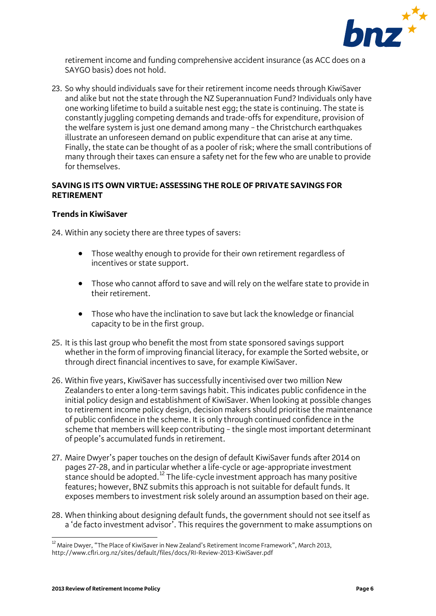

retirement income and funding comprehensive accident insurance (as ACC does on a SAYGO basis) does not hold.

23. So why should individuals save for their retirement income needs through KiwiSaver and alike but not the state through the NZ Superannuation Fund? Individuals only have one working lifetime to build a suitable nest egg; the state is continuing. The state is constantly juggling competing demands and trade-offs for expenditure, provision of the welfare system is just one demand among many – the Christchurch earthquakes illustrate an unforeseen demand on public expenditure that can arise at any time. Finally, the state can be thought of as a pooler of risk; where the small contributions of many through their taxes can ensure a safety net for the few who are unable to provide for themselves.

## **SAVING IS ITS OWN VIRTUE: ASSESSING THE ROLE OF PRIVATE SAVINGS FOR RETIREMENT**

## **Trends in KiwiSaver**

24. Within any society there are three types of savers:

- Those wealthy enough to provide for their own retirement regardless of incentives or state support.
- Those who cannot afford to save and will rely on the welfare state to provide in their retirement.
- Those who have the inclination to save but lack the knowledge or financial capacity to be in the first group.
- 25. It is this last group who benefit the most from state sponsored savings support whether in the form of improving financial literacy, for example the Sorted website, or through direct financial incentives to save, for example KiwiSaver.
- 26. Within five years, KiwiSaver has successfully incentivised over two million New Zealanders to enter a long-term savings habit. This indicates public confidence in the initial policy design and establishment of KiwiSaver. When looking at possible changes to retirement income policy design, decision makers should prioritise the maintenance of public confidence in the scheme. It is only through continued confidence in the scheme that members will keep contributing – the single most important determinant of people's accumulated funds in retirement.
- 27. Maire Dwyer's paper touches on the design of default KiwiSaver funds after 2014 on pages 27-28, and in particular whether a life-cycle or age-appropriate investment stance should be adopted.<sup>[12](#page-5-0)</sup> The life-cycle investment approach has many positive features; however, BNZ submits this approach is not suitable for default funds. It exposes members to investment risk solely around an assumption based on their age.
- 28. When thinking about designing default funds, the government should not see itself as a 'de facto investment advisor'. This requires the government to make assumptions on

<span id="page-5-0"></span> $\overline{a}$  $^{12}$  Maire Dwyer, "The Place of KiwiSaver in New Zealand's Retirement Income Framework", March 2013, http://www.cflri.org.nz/sites/default/files/docs/RI-Review-2013-KiwiSaver.pdf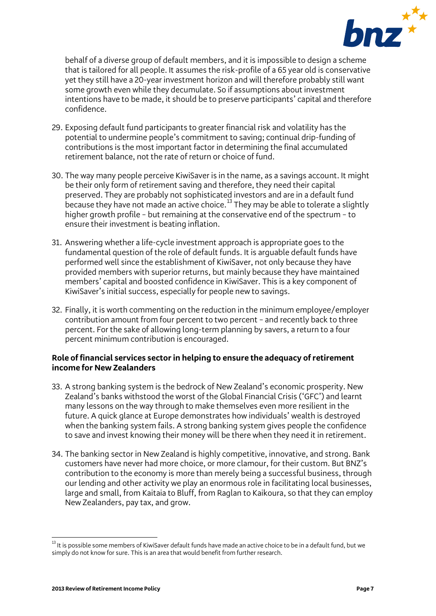

behalf of a diverse group of default members, and it is impossible to design a scheme that is tailored for all people. It assumes the risk-profile of a 65 year old is conservative yet they still have a 20-year investment horizon and will therefore probably still want some growth even while they decumulate. So if assumptions about investment intentions have to be made, it should be to preserve participants' capital and therefore confidence.

- 29. Exposing default fund participants to greater financial risk and volatility has the potential to undermine people's commitment to saving; continual drip-funding of contributions is the most important factor in determining the final accumulated retirement balance, not the rate of return or choice of fund.
- 30. The way many people perceive KiwiSaver is in the name, as a savings account. It might be their only form of retirement saving and therefore, they need their capital preserved. They are probably not sophisticated investors and are in a default fund because they have not made an active choice.<sup>[13](#page-6-0)</sup> They may be able to tolerate a slightly higher growth profile – but remaining at the conservative end of the spectrum – to ensure their investment is beating inflation.
- 31. Answering whether a life-cycle investment approach is appropriate goes to the fundamental question of the role of default funds. It is arguable default funds have performed well since the establishment of KiwiSaver, not only because they have provided members with superior returns, but mainly because they have maintained members' capital and boosted confidence in KiwiSaver. This is a key component of KiwiSaver's initial success, especially for people new to savings.
- 32. Finally, it is worth commenting on the reduction in the minimum employee/employer contribution amount from four percent to two percent – and recently back to three percent. For the sake of allowing long-term planning by savers, a return to a four percent minimum contribution is encouraged.

## **Role of financial services sector in helping to ensure the adequacy of retirement income for New Zealanders**

- 33. A strong banking system is the bedrock of New Zealand's economic prosperity. New Zealand's banks withstood the worst of the Global Financial Crisis ('GFC') and learnt many lessons on the way through to make themselves even more resilient in the future. A quick glance at Europe demonstrates how individuals' wealth is destroyed when the banking system fails. A strong banking system gives people the confidence to save and invest knowing their money will be there when they need it in retirement.
- 34. The banking sector in New Zealand is highly competitive, innovative, and strong. Bank customers have never had more choice, or more clamour, for their custom. But BNZ's contribution to the economy is more than merely being a successful business, through our lending and other activity we play an enormous role in facilitating local businesses, large and small, from Kaitaia to Bluff, from Raglan to Kaikoura, so that they can employ New Zealanders, pay tax, and grow.

<span id="page-6-0"></span> $\overline{a}$  $^{\rm 13}$  It is possible some members of KiwiSaver default funds have made an active choice to be in a default fund, but we simply do not know for sure. This is an area that would benefit from further research.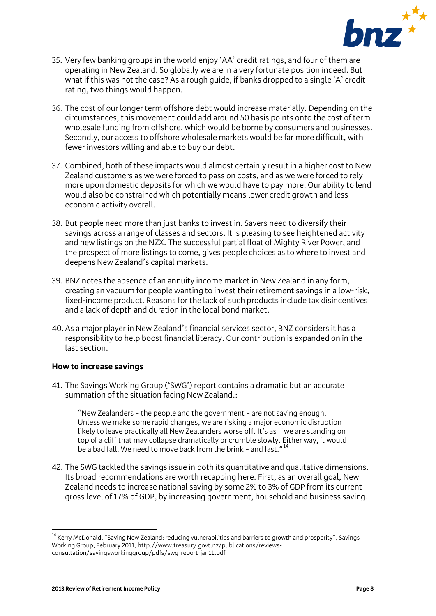

- 35. Very few banking groups in the world enjoy 'AA' credit ratings, and four of them are operating in New Zealand. So globally we are in a very fortunate position indeed. But what if this was not the case? As a rough quide, if banks dropped to a single 'A' credit rating, two things would happen.
- 36. The cost of our longer term offshore debt would increase materially. Depending on the circumstances, this movement could add around 50 basis points onto the cost of term wholesale funding from offshore, which would be borne by consumers and businesses. Secondly, our access to offshore wholesale markets would be far more difficult, with fewer investors willing and able to buy our debt.
- 37. Combined, both of these impacts would almost certainly result in a higher cost to New Zealand customers as we were forced to pass on costs, and as we were forced to rely more upon domestic deposits for which we would have to pay more. Our ability to lend would also be constrained which potentially means lower credit growth and less economic activity overall.
- 38. But people need more than just banks to invest in. Savers need to diversify their savings across a range of classes and sectors. It is pleasing to see heightened activity and new listings on the NZX. The successful partial float of Mighty River Power, and the prospect of more listings to come, gives people choices as to where to invest and deepens New Zealand's capital markets.
- 39. BNZ notes the absence of an annuity income market in New Zealand in any form, creating an vacuum for people wanting to invest their retirement savings in a low-risk, fixed-income product. Reasons for the lack of such products include tax disincentives and a lack of depth and duration in the local bond market.
- 40.As a major player in New Zealand's financial services sector, BNZ considers it has a responsibility to help boost financial literacy. Our contribution is expanded on in the last section.

#### **How to increase savings**

41. The Savings Working Group ('SWG') report contains a dramatic but an accurate summation of the situation facing New Zealand.:

"New Zealanders – the people and the government – are not saving enough. Unless we make some rapid changes, we are risking a major economic disruption likely to leave practically all New Zealanders worse off. It's as if we are standing on top of a cliff that may collapse dramatically or crumble slowly. Either way, it would be a bad fall. We need to move back from the brink - and fast."<sup>[14](#page-7-0)</sup>

42. The SWG tackled the savings issue in both its quantitative and qualitative dimensions. Its broad recommendations are worth recapping here. First, as an overall goal, New Zealand needs to increase national saving by some 2% to 3% of GDP from its current gross level of 17% of GDP, by increasing government, household and business saving.

<span id="page-7-0"></span> $\overline{a}$ <sup>14</sup> Kerry McDonald, "Saving New Zealand: reducing vulnerabilities and barriers to growth and prosperity", Savings Working Group, February 2011, http://www.treasury.govt.nz/publications/reviewsconsultation/savingsworkinggroup/pdfs/swg-report-jan11.pdf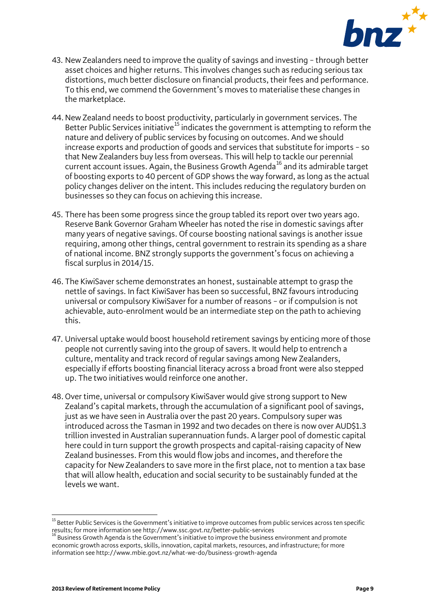

- 43. New Zealanders need to improve the quality of savings and investing through better asset choices and higher returns. This involves changes such as reducing serious tax distortions, much better disclosure on financial products, their fees and performance. To this end, we commend the Government's moves to materialise these changes in the marketplace.
- 44. New Zealand needs to boost productivity, particularly in government services. The Better Public Services initiative<sup>[15](#page-8-0)</sup> indicates the government is attempting to reform the nature and delivery of public services by focusing on outcomes. And we should increase exports and production of goods and services that substitute for imports – so that New Zealanders buy less from overseas. This will help to tackle our perennial current account issues. Again, the Business Growth Agenda<sup>[16](#page-8-1)</sup> and its admirable target of boosting exports to 40 percent of GDP shows the way forward, as long as the actual policy changes deliver on the intent. This includes reducing the regulatory burden on businesses so they can focus on achieving this increase.
- 45. There has been some progress since the group tabled its report over two years ago. Reserve Bank Governor Graham Wheeler has noted the rise in domestic savings after many years of negative savings. Of course boosting national savings is another issue requiring, among other things, central government to restrain its spending as a share of national income. BNZ strongly supports the government's focus on achieving a fiscal surplus in 2014/15.
- 46. The KiwiSaver scheme demonstrates an honest, sustainable attempt to grasp the nettle of savings. In fact KiwiSaver has been so successful, BNZ favours introducing universal or compulsory KiwiSaver for a number of reasons – or if compulsion is not achievable, auto-enrolment would be an intermediate step on the path to achieving this.
- 47. Universal uptake would boost household retirement savings by enticing more of those people not currently saving into the group of savers. It would help to entrench a culture, mentality and track record of regular savings among New Zealanders, especially if efforts boosting financial literacy across a broad front were also stepped up. The two initiatives would reinforce one another.
- 48. Over time, universal or compulsory KiwiSaver would give strong support to New Zealand's capital markets, through the accumulation of a significant pool of savings, just as we have seen in Australia over the past 20 years. Compulsory super was introduced across the Tasman in 1992 and two decades on there is now over AUD\$1.3 trillion invested in Australian superannuation funds. A larger pool of domestic capital here could in turn support the growth prospects and capital-raising capacity of New Zealand businesses. From this would flow jobs and incomes, and therefore the capacity for New Zealanders to save more in the first place, not to mention a tax base that will allow health, education and social security to be sustainably funded at the levels we want.

<span id="page-8-0"></span> $\overline{a}$ <sup>15</sup> Better Public Services is the Government's initiative to improve outcomes from public services across ten specific results; for more information see http://www.ssc.govt.nz/better-public-services<br><sup>16</sup> Business Growth Agenda is the Government's initiative to improve the business environment and promote

<span id="page-8-1"></span>economic growth across exports, skills, innovation, capital markets, resources, and infrastructure; for more information see http://www.mbie.govt.nz/what-we-do/business-growth-agenda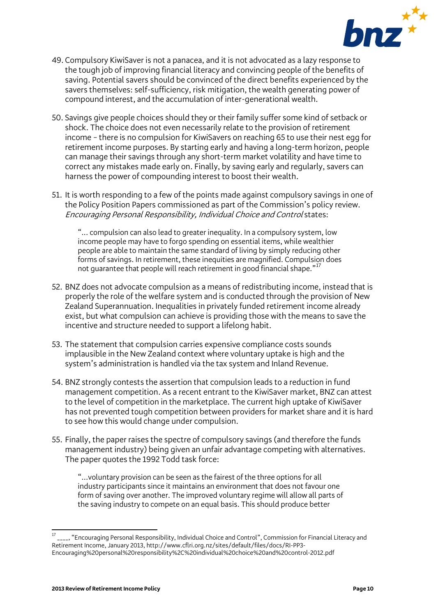

- 49. Compulsory KiwiSaver is not a panacea, and it is not advocated as a lazy response to the tough job of improving financial literacy and convincing people of the benefits of saving. Potential savers should be convinced of the direct benefits experienced by the savers themselves: self-sufficiency, risk mitigation, the wealth generating power of compound interest, and the accumulation of inter-generational wealth.
- 50. Savings give people choices should they or their family suffer some kind of setback or shock. The choice does not even necessarily relate to the provision of retirement income – there is no compulsion for KiwiSavers on reaching 65 to use their nest egg for retirement income purposes. By starting early and having a long-term horizon, people can manage their savings through any short-term market volatility and have time to correct any mistakes made early on. Finally, by saving early and regularly, savers can harness the power of compounding interest to boost their wealth.
- 51. It is worth responding to a few of the points made against compulsory savings in one of the Policy Position Papers commissioned as part of the Commission's policy review. Encouraging Personal Responsibility, Individual Choice and Controlstates:

"... compulsion can also lead to greater inequality. In a compulsory system, low income people may have to forgo spending on essential items, while wealthier people are able to maintain the same standard of living by simply reducing other forms of savings. In retirement, these inequities are magnified. Compulsion does not quarantee that people will reach retirement in good financial shape."<sup>[17](#page-9-0)</sup>

- 52. BNZ does not advocate compulsion as a means of redistributing income, instead that is properly the role of the welfare system and is conducted through the provision of New Zealand Superannuation. Inequalities in privately funded retirement income already exist, but what compulsion can achieve is providing those with the means to save the incentive and structure needed to support a lifelong habit.
- 53. The statement that compulsion carries expensive compliance costs sounds implausible in the New Zealand context where voluntary uptake is high and the system's administration is handled via the tax system and Inland Revenue.
- 54. BNZ strongly contests the assertion that compulsion leads to a reduction in fund management competition. As a recent entrant to the KiwiSaver market, BNZ can attest to the level of competition in the marketplace. The current high uptake of KiwiSaver has not prevented tough competition between providers for market share and it is hard to see how this would change under compulsion.
- 55. Finally, the paper raises the spectre of compulsory savings (and therefore the funds management industry) being given an unfair advantage competing with alternatives. The paper quotes the 1992 Todd task force:

"…voluntary provision can be seen as the fairest of the three options for all industry participants since it maintains an environment that does not favour one form of saving over another. The improved voluntary regime will allow all parts of the saving industry to compete on an equal basis. This should produce better

<span id="page-9-0"></span> $\overline{a}$ <sup>17</sup> \_\_\_\_, "Encouraging Personal Responsibility, Individual Choice and Control", Commission for Financial Literacy and Retirement Income, January 2013, http://www.cflri.org.nz/sites/default/files/docs/RI-PP3- Encouraging%20personal%20responsibility%2C%20individual%20choice%20and%20control-2012.pdf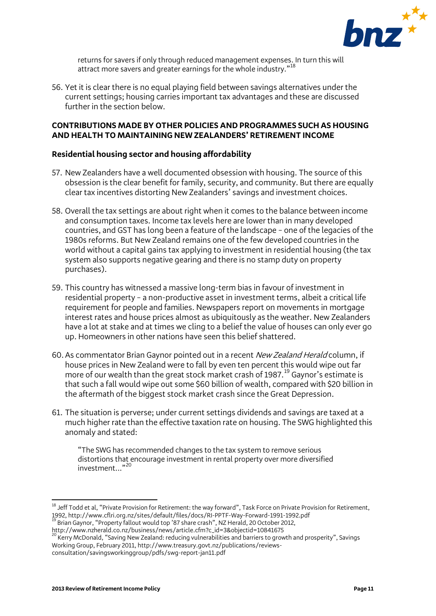

returns for savers if only through reduced management expenses. In turn this will attract more savers and greater earnings for the whole industry."[18](#page-10-0)

56. Yet it is clear there is no equal playing field between savings alternatives under the current settings; housing carries important tax advantages and these are discussed further in the section below.

## **CONTRIBUTIONS MADE BY OTHER POLICIES AND PROGRAMMES SUCH AS HOUSING AND HEALTH TO MAINTAINING NEW ZEALANDERS' RETIREMENT INCOME**

## **Residential housing sector and housing affordability**

- 57. New Zealanders have a well documented obsession with housing. The source of this obsession is the clear benefit for family, security, and community. But there are equally clear tax incentives distorting New Zealanders' savings and investment choices.
- 58. Overall the tax settings are about right when it comes to the balance between income and consumption taxes. Income tax levels here are lower than in many developed countries, and GST has long been a feature of the landscape – one of the legacies of the 1980s reforms. But New Zealand remains one of the few developed countries in the world without a capital gains tax applying to investment in residential housing (the tax system also supports negative gearing and there is no stamp duty on property purchases).
- 59. This country has witnessed a massive long-term bias in favour of investment in residential property – a non-productive asset in investment terms, albeit a critical life requirement for people and families. Newspapers report on movements in mortgage interest rates and house prices almost as ubiquitously as the weather. New Zealanders have a lot at stake and at times we cling to a belief the value of houses can only ever go up. Homeowners in other nations have seen this belief shattered.
- 60. As commentator Brian Gaynor pointed out in a recent New Zealand Herald column, if house prices in New Zealand were to fall by even ten percent this would wipe out far more of our wealth than the great stock market crash of [19](#page-10-1)87.<sup>19</sup> Gaynor's estimate is that such a fall would wipe out some \$60 billion of wealth, compared with \$20 billion in the aftermath of the biggest stock market crash since the Great Depression.
- 61. The situation is perverse; under current settings dividends and savings are taxed at a much higher rate than the effective taxation rate on housing. The SWG highlighted this anomaly and stated:

"The SWG has recommended changes to the tax system to remove serious distortions that encourage investment in rental property over more diversified <sup>[20](#page-10-2)</sup> ...investment

<span id="page-10-2"></span><span id="page-10-1"></span>http://www.nzherald.co.nz/business/news/article.cfm?c\_id=3&objectid=10841675<br><sup>20</sup> Kerry McDonald, "Saving New Zealand: reducing vulnerabilities and barriers to growth and prosperity", Savings Working Group, February 2011, http://www.treasury.govt.nz/publications/reviewsconsultation/savingsworkinggroup/pdfs/swg-report-jan11.pdf

 $\overline{\phantom{a}}$ 

<span id="page-10-0"></span> $^{18}$  Jeff Todd et al, "Private Provision for Retirement: the way forward", Task Force on Private Provision for Retirement, 1992, http://www.cflri.org.nz/sites/default/files/docs/RI-PPTF-Way-Forward-1991-1992.pdf <sup>19</sup> Brian Gaynor, "Property fallout would top '87 share crash", NZ Herald, 20 October 2012,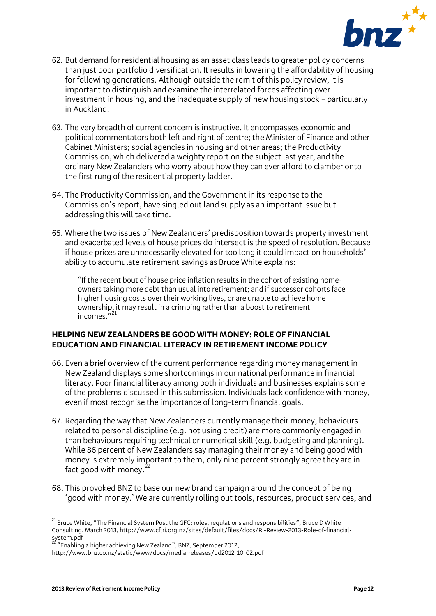

- 62. But demand for residential housing as an asset class leads to greater policy concerns than just poor portfolio diversification. It results in lowering the affordability of housing for following generations. Although outside the remit of this policy review, it is important to distinguish and examine the interrelated forces affecting overinvestment in housing, and the inadequate supply of new housing stock – particularly in Auckland.
- 63. The very breadth of current concern is instructive. It encompasses economic and political commentators both left and right of centre; the Minister of Finance and other Cabinet Ministers; social agencies in housing and other areas; the Productivity Commission, which delivered a weighty report on the subject last year; and the ordinary New Zealanders who worry about how they can ever afford to clamber onto the first rung of the residential property ladder.
- 64. The Productivity Commission, and the Government in its response to the Commission's report, have singled out land supply as an important issue but addressing this will take time.
- 65. Where the two issues of New Zealanders' predisposition towards property investment and exacerbated levels of house prices do intersect is the speed of resolution. Because if house prices are unnecessarily elevated for too long it could impact on households' ability to accumulate retirement savings as Bruce White explains:

"If the recent bout of house price inflation results in the cohort of existing homeowners taking more debt than usual into retirement; and if successor cohorts face higher housing costs over their working lives, or are unable to achieve home ownership, it may result in a crimping rather than a boost to retirement incomes."<sup>[21](#page-11-0)</sup>

## **HELPING NEW ZEALANDERS BE GOOD WITH MONEY: ROLE OF FINANCIAL EDUCATION AND FINANCIAL LITERACY IN RETIREMENT INCOME POLICY**

- 66. Even a brief overview of the current performance regarding money management in New Zealand displays some shortcomings in our national performance in financial literacy. Poor financial literacy among both individuals and businesses explains some of the problems discussed in this submission. Individuals lack confidence with money, even if most recognise the importance of long-term financial goals.
- 67. Regarding the way that New Zealanders currently manage their money, behaviours related to personal discipline (e.g. not using credit) are more commonly engaged in than behaviours requiring technical or numerical skill (e.g. budgeting and planning). While 86 percent of New Zealanders say managing their money and being good with money is extremely important to them, only nine percent strongly agree they are in fact good with money. $^{22}$  $^{22}$  $^{22}$
- 68. This provoked BNZ to base our new brand campaign around the concept of being 'good with money.' We are currently rolling out tools, resources, product services, and

<span id="page-11-0"></span> $\overline{a}$  $^{21}$  Bruce White, "The Financial System Post the GFC: roles, regulations and responsibilities", Bruce D White Consulting, March 2013, http://www.cflri.org.nz/sites/default/files/docs/RI-Review-2013-Role-of-financialsystem.pdf <sup>22</sup> "Enabling a higher achieving New Zealand", BNZ, September 2012,

<span id="page-11-1"></span>

http://www.bnz.co.nz/static/www/docs/media-releases/dd2012-10-02.pdf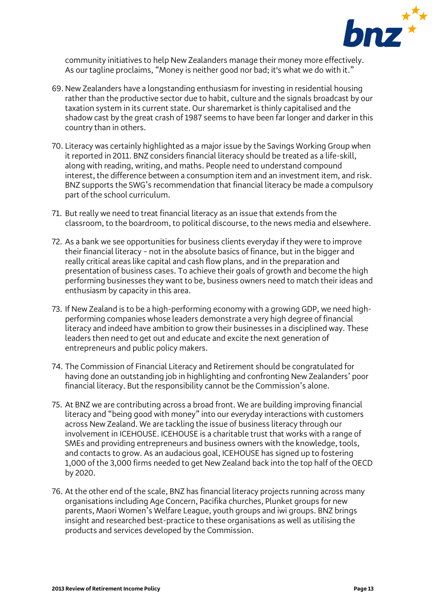

community initiatives to help New Zealanders manage their money more effectively. As our tagline proclaims, "Money is neither good nor bad; it's what we do with it."

- 69. New Zealanders have a longstanding enthusiasm for investing in residential housing rather than the productive sector due to habit, culture and the signals broadcast by our taxation system in its current state. Our sharemarket is thinly capitalised and the shadow cast by the great crash of 1987 seems to have been far longer and darker in this country than in others.
- 70. Literacy was certainly highlighted as a major issue by the Savings Working Group when it reported in 2011. BNZ considers financial literacy should be treated as a life-skill, along with reading, writing, and maths. People need to understand compound interest, the difference between a consumption item and an investment item, and risk. BNZ supports the SWG's recommendation that financial literacy be made a compulsory part of the school curriculum.
- 71. But really we need to treat financial literacy as an issue that extends from the classroom, to the boardroom, to political discourse, to the news media and elsewhere.
- 72. As a bank we see opportunities for business clients everyday if they were to improve their financial literacy – not in the absolute basics of finance, but in the bigger and really critical areas like capital and cash flow plans, and in the preparation and presentation of business cases. To achieve their goals of growth and become the high performing businesses they want to be, business owners need to match their ideas and enthusiasm by capacity in this area.
- 73. If New Zealand is to be a high-performing economy with a growing GDP, we need highperforming companies whose leaders demonstrate a very high degree of financial literacy and indeed have ambition to grow their businesses in a disciplined way. These leaders then need to get out and educate and excite the next generation of entrepreneurs and public policy makers.
- 74. The Commission of Financial Literacy and Retirement should be congratulated for having done an outstanding job in highlighting and confronting New Zealanders' poor financial literacy. But the responsibility cannot be the Commission's alone.
- 75. At BNZ we are contributing across a broad front. We are building improving financial literacy and "being good with money" into our everyday interactions with customers across New Zealand. We are tackling the issue of business literacy through our involvement in ICEHOUSE. ICEHOUSE is a charitable trust that works with a range of SMEs and providing entrepreneurs and business owners with the knowledge, tools, and contacts to grow. As an audacious goal, ICEHOUSE has signed up to fostering 1,000 of the 3,000 firms needed to get New Zealand back into the top half of the OECD by 2020.
- 76. At the other end of the scale, BNZ has financial literacy projects running across many organisations including Age Concern, Pacifika churches, Plunket groups for new parents, Maori Women's Welfare League, youth groups and iwi groups. BNZ brings insight and researched best-practice to these organisations as well as utilising the products and services developed by the Commission.